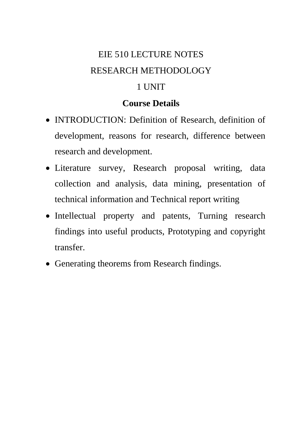# EIE 510 LECTURE NOTES RESEARCH METHODOLOGY 1 UNIT

## **Course Details**

- INTRODUCTION: Definition of Research, definition of development, reasons for research, difference between research and development.
- Literature survey, Research proposal writing, data collection and analysis, data mining, presentation of technical information and Technical report writing
- Intellectual property and patents, Turning research findings into useful products, Prototyping and copyright transfer.
- Generating theorems from Research findings.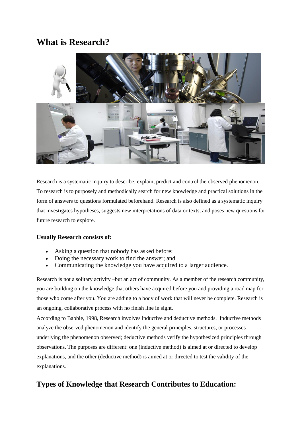## **What is Research?**



Research is a systematic inquiry to describe, explain, predict and control the observed phenomenon. To research is to purposely and methodically search for new knowledge and practical solutions in the form of answers to questions formulated beforehand. Research is also defined as a systematic inquiry that investigates hypotheses, suggests new interpretations of data or texts, and poses new questions for future research to explore.

### **Usually Research consists of:**

- Asking a question that nobody has asked before;
- Doing the necessary work to find the answer; and
- Communicating the knowledge you have acquired to a larger audience.

Research is not a solitary activity –but an act of community. As a member of the research community, you are building on the knowledge that others have acquired before you and providing a road map for those who come after you. You are adding to a body of work that will never be complete. Research is an ongoing, collaborative process with no finish line in sight.

According to Babbie, 1998, Research involves inductive and deductive methods. Inductive methods analyze the observed phenomenon and identify the general principles, structures, or processes underlying the phenomenon observed; deductive methods verify the hypothesized principles through observations. The purposes are different: one (inductive method) is aimed at or directed to develop explanations, and the other (deductive method) is aimed at or directed to test the validity of the explanations.

## **Types of Knowledge that Research Contributes to Education:**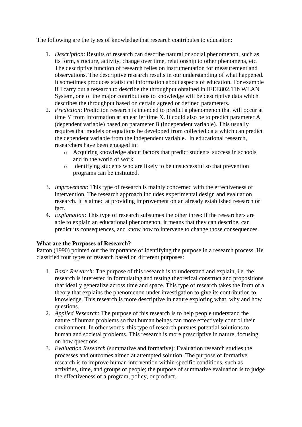The following are the types of knowledge that research contributes to education:

- 1. *Description*: Results of research can describe natural or social phenomenon, such as its form, structure, activity, change over time, relationship to other phenomena, etc. The descriptive function of research relies on instrumentation for measurement and observations. The descriptive research results in our understanding of what happened. It sometimes produces statistical information about aspects of education. For example if I carry out a research to describe the throughput obtained in IEEE802.11b WLAN System, one of the major contributions to knowledge will be descriptive data which describes the throughput based on certain agreed or defined parameters.
- 2. *Prediction*: Prediction research is intended to predict a phenomenon that will occur at time Y from information at an earlier time X. It could also be to predict parameter A (dependent variable) based on parameter B (independent variable). This usually requires that models or equations be developed from collected data which can predict the dependent variable from the independent variable. In educational research, researchers have been engaged in:
	- o Acquiring knowledge about factors that predict students' success in schools and in the world of work
	- o Identifying students who are likely to be unsuccessful so that prevention programs can be instituted.
- 3. *Improvement*: This type of research is mainly concerned with the effectiveness of intervention. The research approach includes experimental design and evaluation research. It is aimed at providing improvement on an already established research or fact.
- 4. *Explanation*: This type of research subsumes the other three: if the researchers are able to explain an educational phenomenon, it means that they can describe, can predict its consequences, and know how to intervene to change those consequences.

## **What are the Purposes of Research?**

Patton (1990) pointed out the importance of identifying the purpose in a research process. He classified four types of research based on different purposes:

- 1. *Basic Research*: The purpose of this research is to understand and explain, i.e. the research is interested in formulating and testing theoretical construct and propositions that ideally generalize across time and space. This type of research takes the form of a theory that explains the phenomenon under investigation to give its contribution to knowledge. This research is more descriptive in nature exploring what, why and how questions.
- 2. *Applied Research*: The purpose of this research is to help people understand the nature of human problems so that human beings can more effectively control their environment. In other words, this type of research pursues potential solutions to human and societal problems. This research is more prescriptive in nature, focusing on how questions.
- 3. *Evaluation Research* (summative and formative): Evaluation research studies the processes and outcomes aimed at attempted solution. The purpose of formative research is to improve human intervention within specific conditions, such as activities, time, and groups of people; the purpose of summative evaluation is to judge the effectiveness of a program, policy, or product.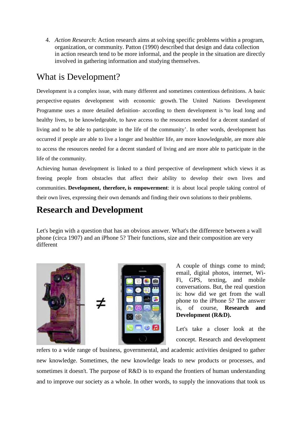4. *Action Research*: Action research aims at solving specific problems within a program, organization, or community. Patton (1990) described that design and data collection in action research tend to be more informal, and the people in the situation are directly involved in gathering information and studying themselves.

## What is Development?

Development is a complex issue, with many different and sometimes contentious definitions. A basic perspective equates development with economic growth. The United Nations Development Programme uses a more detailed definition- according to them development is **'**to lead long and healthy lives, to be knowledgeable, to have access to the resources needed for a decent standard of living and to be able to participate in the life of the community'. In other words, development has occurred if people are able to live a longer and healthier life, are more knowledgeable, are more able to access the resources needed for a decent standard of living and are more able to participate in the life of the community.

Achieving human development is linked to a third perspective of development which views it as freeing people from obstacles that affect their ability to develop their own lives and communities. **Development, therefore, is empowerment**: it is about local people taking control of their own lives, expressing their own demands and finding their own solutions to their problems.

## **Research and Development**

Let's begin with a question that has an obvious answer. What's the difference between a wall phone (circa 1907) and an iPhone 5? Their functions, size and their composition are very different



A couple of things come to mind; email, digital photos, internet, Wi-Fi, GPS, texting, and mobile conversations. But, the real question is: how did we get from the wall phone to the iPhone 5? The answer is, of course, **Research and Development (R&D).**

Let's take a closer look at the concept. Research and development

refers to a wide range of business, governmental, and academic activities designed to gather new knowledge. Sometimes, the new knowledge leads to new products or processes, and sometimes it doesn't. The purpose of R&D is to expand the frontiers of human understanding and to improve our society as a whole. In other words, to supply the innovations that took us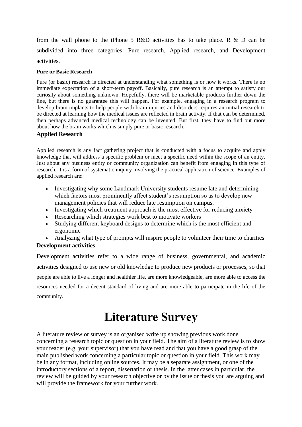from the wall phone to the iPhone 5 R&D activities has to take place. R & D can be subdivided into three categories: Pure research, Applied research, and Development activities.

#### **Pure or Basic Research**

Pure (or basic) research is directed at understanding what something is or how it works. There is no immediate expectation of a short-term payoff. Basically, pure research is an attempt to satisfy our curiosity about something unknown. Hopefully, there will be marketable products further down the line, but there is no guarantee this will happen. For example, engaging in a research program to develop brain implants to help people with brain injuries and disorders requires an initial research to be directed at learning how the medical issues are reflected in brain activity. If that can be determined, then perhaps advanced medical technology can be invented. But first, they have to find out more about how the brain works which is simply pure or basic research.

## **Applied Research**

Applied research is any fact gathering project that is conducted with a focus to acquire and apply knowledge that will address a specific problem or meet a specific need within the scope of an entity. Just about any business entity or community organization can benefit from engaging in this type of research. It is a form of systematic inquiry involving the practical application of science. Examples of applied research are:

- Investigating why some Landmark University students resume late and determining which factors most prominently affect student's resumption so as to develop new management policies that will reduce late resumption on campus.
- Investigating which treatment approach is the most effective for reducing anxiety
- Researching which strategies work best to motivate workers
- Studying different keyboard designs to determine which is the most efficient and ergonomic
- Analyzing what type of prompts will inspire people to volunteer their time to charities

### **Development activities**

Development activities refer to a wide range of business, governmental, and academic activities designed to use new or old knowledge to produce new products or processes, so that people are able to live a longer and healthier life, are more knowledgeable, are more able to access the resources needed for a decent standard of living and are more able to participate in the life of the community.

# **Literature Survey**

A literature review or survey is an organised write up showing previous work done concerning a research topic or question in your field. The aim of a literature review is to show your reader (e.g. your supervisor) that you have read and that you have a good grasp of the main published work concerning a particular topic or question in your field. This work may be in any format, including online sources. It may be a separate assignment, or one of the introductory sections of a report, dissertation or thesis. In the latter cases in particular, the review will be guided by your research objective or by the issue or thesis you are arguing and will provide the framework for your further work.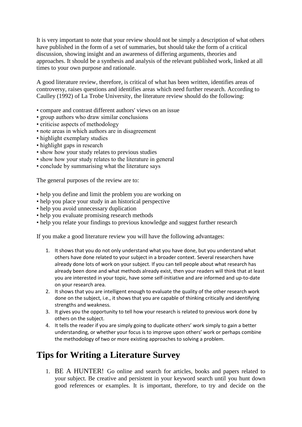It is very important to note that your review should not be simply a description of what others have published in the form of a set of summaries, but should take the form of a critical discussion, showing insight and an awareness of differing arguments, theories and approaches. It should be a synthesis and analysis of the relevant published work, linked at all times to your own purpose and rationale.

A good literature review, therefore, is critical of what has been written, identifies areas of controversy, raises questions and identifies areas which need further research. According to Caulley (1992) of La Trobe University, the literature review should do the following:

- compare and contrast different authors' views on an issue
- group authors who draw similar conclusions
- criticise aspects of methodology
- note areas in which authors are in disagreement
- highlight exemplary studies
- highlight gaps in research
- show how your study relates to previous studies
- show how your study relates to the literature in general
- conclude by summarising what the literature says

The general purposes of the review are to:

- help you define and limit the problem you are working on
- help you place your study in an historical perspective
- help you avoid unnecessary duplication
- help you evaluate promising research methods
- help you relate your findings to previous knowledge and suggest further research

If you make a good literature review you will have the following advantages:

- 1. It shows that you do not only understand what you have done, but you understand what others have done related to your subject in a broader context. Several researchers have already done lots of work on your subject. If you can tell people about what research has already been done and what methods already exist, then your readers will think that at least you are interested in your topic, have some self-initiative and are informed and up-to-date on your research area.
- 2. It shows that you are intelligent enough to evaluate the quality of the other research work done on the subject, i.e., it shows that you are capable of thinking critically and identifying strengths and weakness.
- 3. It gives you the opportunity to tell how your research is related to previous work done by others on the subject.
- 4. It tells the reader if you are simply going to duplicate others' work simply to gain a better understanding, or whether your focus is to improve upon others' work or perhaps combine the methodology of two or more existing approaches to solving a problem.

## **Tips for Writing a Literature Survey**

1. BE A HUNTER! Go online and search for articles, books and papers related to your subject. Be creative and persistent in your keyword search until you hunt down good references or examples. It is important, therefore, to try and decide on the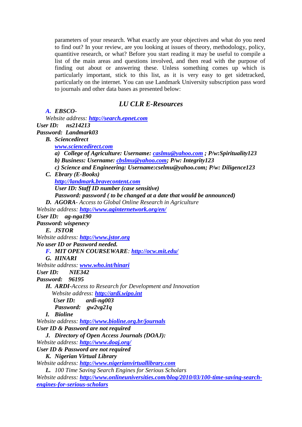parameters of your research. What exactly are your objectives and what do you need to find out? In your review, are you looking at issues of theory, methodology, policy, quantitive research, or what? Before you start reading it may be useful to compile a list of the main areas and questions involved, and then read with the purpose of finding out about or answering these. Unless something comes up which is particularly important, stick to this list, as it is very easy to get sidetracked, particularly on the internet. You can use Landmark University subscription pass word to journals and other data bases as presented below:

## *LU CLR E-Resources*

| A. EBSCO-                                                                               |
|-----------------------------------------------------------------------------------------|
| Website address: http://search.epnet.com                                                |
| ns214213<br>$User$ ID:                                                                  |
| Password: Landmark03                                                                    |
| <b>B.</b> Sciencedirect                                                                 |
| www.sciencedirect.com                                                                   |
| a) College of Agriculture: Username: caslmu@yahoo.com; P/w:Spirituality123              |
| b) Business: Username: chslmu@yahoo.com; P/w: Integrity123                              |
| c) Science and Engineering: Username:cselmu@yahoo.com; P/w: Diligence123                |
| $C.$ Ebrary (E-Books)                                                                   |
| http://landmark.bravecontent.com                                                        |
| User ID: Staff ID number (case sensitive)                                               |
| Password: password (to be changed at a date that would be announced)                    |
| <b>D. AGORA-</b> Access to Global Online Research in Agriculture                        |
| Website address: http://www.aginternetwork.org/en/                                      |
| User ID: $a$ g-nga190                                                                   |
| Password: wispenecy                                                                     |
| E. JSTOR                                                                                |
| Website address: http://www.jstor.org                                                   |
| No user ID or Password needed.                                                          |
| <b>F. MIT OPEN COURSEWARE: http://ocw.mit.edu/</b>                                      |
| G. HINARI                                                                               |
| Website address: www.who.int/hinari                                                     |
| $User$ ID:<br><i>NIE342</i>                                                             |
| 96195<br>Password:                                                                      |
| <b>H. ARDI-Access to Research for Development and Innovation</b>                        |
| Website address: http://ardi.wipo.int                                                   |
| $User$ ID:<br>ardi-ng003                                                                |
| Password: gw2vg21q                                                                      |
| I. Bioline                                                                              |
| Website address: http://www.bioline.org.br/journals                                     |
| <b>User ID &amp; Password are not required</b>                                          |
| J. Directory of Open Access Journals (DOAJ):                                            |
| Website address: http://www.doaj.org/                                                   |
| <b>User ID &amp; Password are not required</b>                                          |
| K. Nigerian Virtual Library                                                             |
| Website address: http://www.nigerianvirtuallibrary.com                                  |
| <b>L.</b> 100 Time Saving Search Engines for Serious Scholars                           |
| Website address: http://www.onlineuniversities.com/blog/2010/03/100-time-saving-search- |
| engines-for-serious-scholars                                                            |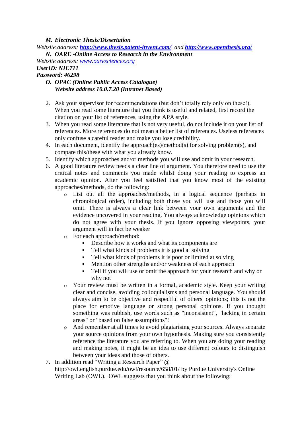*M. Electronic Thesis/Dissertation*

*Website address: <http://www.thesis.patent-invent.com/> and <http://www.openthesis.org/>*

*N. OARE -Online Access to Research in the Environment* 

*Website address: [www.oaresciences.org](http://www.oaresciences.org/) UserID: NIE711*

## *Password: 46298*

- *O. OPAC (Online Public Access Catalogue) Website address 10.0.7.20 (Intranet Based)*
- 2. Ask your supervisor for recommendations (but don't totally rely only on these!). When you read some literature that you think is useful and related, first record the citation on your list of references, using the APA style.
- 3. When you read some literature that is not very useful, do not include it on your list of references. More references do not mean a better list of references. Useless references only confuse a careful reader and make you lose credibility.
- 4. In each document, identify the approach(es)/method(s) for solving problem(s), and compare this/these with what you already know.
- 5. Identify which approaches and/or methods you will use and omit in your research.
- 6. A good literature review needs a clear line of argument. You therefore need to use the critical notes and comments you made whilst doing your reading to express an academic opinion. After you feel satisfied that you know most of the existing approaches/methods, do the following:
	- o List out all the approaches/methods, in a logical sequence (perhaps in chronological order), including both those you will use and those you will omit. There is always a clear link between your own arguments and the evidence uncovered in your reading. You always acknowledge opinions which do not agree with your thesis. If you ignore opposing viewpoints, your argument will in fact be weaker
	- o For each approach/method:
		- Describe how it works and what its components are
		- Tell what kinds of problems it is good at solving
		- Tell what kinds of problems it is poor or limited at solving
		- Mention other strengths and/or weakness of each approach
		- Tell if you will use or omit the approach for your research and why or why not
	- o Your review must be written in a formal, academic style. Keep your writing clear and concise, avoiding colloquialisms and personal language. You should always aim to be objective and respectful of others' opinions; this is not the place for emotive language or strong personal opinions. If you thought something was rubbish, use words such as "inconsistent", "lacking in certain areas" or "based on false assumptions"!
	- o And remember at all times to avoid plagiarising your sources. Always separate your source opinions from your own hypothesis. Making sure you consistently reference the literature you are referring to. When you are doing your reading and making notes, it might be an idea to use different colours to distinguish between your ideas and those of others.
- 7. In addition read "Writing a Research Paper"  $@$ http://owl.english.purdue.edu/owl/resource/658/01/ by Purdue University's Online Writing Lab (OWL). OWL suggests that you think about the following: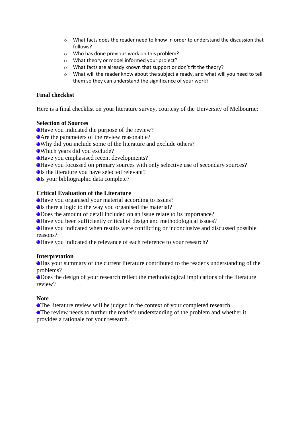- $\circ$  What facts does the reader need to know in order to understand the discussion that follows?
- o Who has done previous work on this problem?
- o What theory or model informed your project?
- o What facts are already known that support or don't fit the theory?
- o What will the reader know about the subject already, and what will you need to tell them so they can understand the significance of your work?

## **Final checklist**

Here is a final checklist on your literature survey, courtesy of the University of Melbourne:

### **Selection of Sources**

Have you indicated the purpose of the review?

Are the parameters of the review reasonable?

Why did you include some of the literature and exclude others?

Which years did you exclude?

Have you emphasised recent developments?

Have you focussed on primary sources with only selective use of secondary sources?

If the literature you have selected relevant?

**Is your bibliographic data complete?** 

## **Critical Evaluation of the Literature**

Have you organised your material according to issues?

Is there a logic to the way you organised the material?

Does the amount of detail included on an issue relate to its importance?

Have you been sufficiently critical of design and methodological issues?

Have you indicated when results were conflicting or inconclusive and discussed possible reasons?

Have you indicated the relevance of each reference to your research?

## **Interpretation**

Has your summary of the current literature contributed to the reader's understanding of the problems?

Does the design of your research reflect the methodological implications of the literature review?

## **Note**

The literature review will be judged in the context of your completed research. The review needs to further the reader's understanding of the problem and whether it provides a rationale for your research.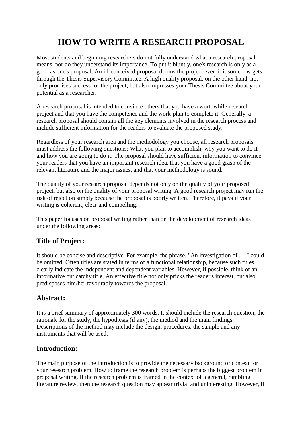## **HOW TO WRITE A RESEARCH PROPOSAL**

Most students and beginning researchers do not fully understand what a research proposal means, nor do they understand its importance. To put it bluntly, one's research is only as a good as one's proposal. An ill-conceived proposal dooms the project even if it somehow gets through the Thesis Supervisory Committee. A high quality proposal, on the other hand, not only promises success for the project, but also impresses your Thesis Committee about your potential as a researcher.

A research proposal is intended to convince others that you have a worthwhile research project and that you have the competence and the work-plan to complete it. Generally, a research proposal should contain all the key elements involved in the research process and include sufficient information for the readers to evaluate the proposed study.

Regardless of your research area and the methodology you choose, all research proposals must address the following questions: What you plan to accomplish, why you want to do it and how you are going to do it. The proposal should have sufficient information to convince your readers that you have an important research idea, that you have a good grasp of the relevant literature and the major issues, and that your methodology is sound.

The quality of your research proposal depends not only on the quality of your proposed project, but also on the quality of your proposal writing. A good research project may run the risk of rejection simply because the proposal is poorly written. Therefore, it pays if your writing is coherent, clear and compelling.

This paper focuses on proposal writing rather than on the development of research ideas under the following areas:

## **Title of Project:**

It should be concise and descriptive. For example, the phrase, "An investigation of . . ." could be omitted. Often titles are stated in terms of a functional relationship, because such titles clearly indicate the independent and dependent variables. However, if possible, think of an informative but catchy title. An effective title not only pricks the reader's interest, but also predisposes him/her favourably towards the proposal.

## **Abstract:**

It is a brief summary of approximately 300 words. It should include the research question, the rationale for the study, the hypothesis (if any), the method and the main findings. Descriptions of the method may include the design, procedures, the sample and any instruments that will be used.

## **Introduction:**

The main purpose of the introduction is to provide the necessary background or context for your research problem. How to frame the research problem is perhaps the biggest problem in proposal writing. If the research problem is framed in the context of a general, rambling literature review, then the research question may appear trivial and uninteresting. However, if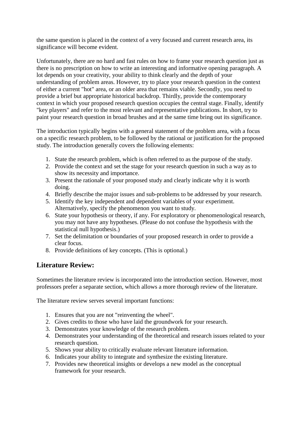the same question is placed in the context of a very focused and current research area, its significance will become evident.

Unfortunately, there are no hard and fast rules on how to frame your research question just as there is no prescription on how to write an interesting and informative opening paragraph. A lot depends on your creativity, your ability to think clearly and the depth of your understanding of problem areas. However, try to place your research question in the context of either a current "hot" area, or an older area that remains viable. Secondly, you need to provide a brief but appropriate historical backdrop. Thirdly, provide the contemporary context in which your proposed research question occupies the central stage. Finally, identify "key players" and refer to the most relevant and representative publications. In short, try to paint your research question in broad brushes and at the same time bring out its significance.

The introduction typically begins with a general statement of the problem area, with a focus on a specific research problem, to be followed by the rational or justification for the proposed study. The introduction generally covers the following elements:

- 1. State the research problem, which is often referred to as the purpose of the study.
- 2. Provide the context and set the stage for your research question in such a way as to show its necessity and importance.
- 3. Present the rationale of your proposed study and clearly indicate why it is worth doing.
- 4. Briefly describe the major issues and sub-problems to be addressed by your research.
- 5. Identify the key independent and dependent variables of your experiment. Alternatively, specify the phenomenon you want to study.
- 6. State your hypothesis or theory, if any. For exploratory or phenomenological research, you may not have any hypotheses. (Please do not confuse the hypothesis with the statistical null hypothesis.)
- 7. Set the delimitation or boundaries of your proposed research in order to provide a clear focus.
- 8. Provide definitions of key concepts. (This is optional.)

## **Literature Review:**

Sometimes the literature review is incorporated into the introduction section. However, most professors prefer a separate section, which allows a more thorough review of the literature.

The literature review serves several important functions:

- 1. Ensures that you are not "reinventing the wheel".
- 2. Gives credits to those who have laid the groundwork for your research.
- 3. Demonstrates your knowledge of the research problem.
- 4. Demonstrates your understanding of the theoretical and research issues related to your research question.
- 5. Shows your ability to critically evaluate relevant literature information.
- 6. Indicates your ability to integrate and synthesize the existing literature.
- 7. Provides new theoretical insights or develops a new model as the conceptual framework for your research.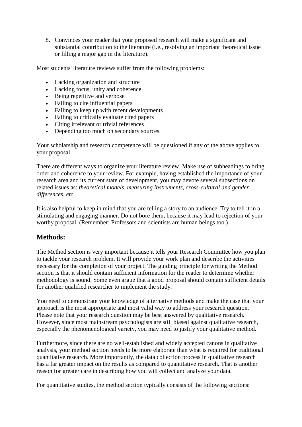8. Convinces your reader that your proposed research will make a significant and substantial contribution to the literature (i.e., resolving an important theoretical issue or filling a major gap in the literature).

Most students' literature reviews suffer from the following problems:

- Lacking organization and structure
- Lacking focus, unity and coherence
- Being repetitive and verbose
- Failing to cite influential papers
- Failing to keep up with recent developments
- Failing to critically evaluate cited papers
- Citing irrelevant or trivial references
- Depending too much on secondary sources

Your scholarship and research competence will be questioned if any of the above applies to your proposal.

There are different ways to organize your literature review. Make use of subheadings to bring order and coherence to your review. For example, having established the importance of your research area and its current state of development, you may devote several subsections on related issues as: *theoretical models, measuring instruments, cross-cultural and gender differences, etc*.

It is also helpful to keep in mind that you are telling a story to an audience. Try to tell it in a stimulating and engaging manner. Do not bore them, because it may lead to rejection of your worthy proposal. (Remember: Professors and scientists are human beings too.)

## **Methods:**

The Method section is very important because it tells your Research Committee how you plan to tackle your research problem. It will provide your work plan and describe the activities necessary for the completion of your project. The guiding principle for writing the Method section is that it should contain sufficient information for the reader to determine whether methodology is sound. Some even argue that a good proposal should contain sufficient details for another qualified researcher to implement the study.

You need to demonstrate your knowledge of alternative methods and make the case that your approach is the most appropriate and most valid way to address your research question. Please note that your research question may be best answered by qualitative research. However, since most mainstream psychologists are still biased against qualitative research, especially the phenomenological variety, you may need to justify your qualitative method.

Furthermore, since there are no well-established and widely accepted canons in qualitative analysis, your method section needs to be more elaborate than what is required for traditional quantitative research. More importantly, the data collection process in qualitative research has a far greater impact on the results as compared to quantitative research. That is another reason for greater care in describing how you will collect and analyze your data.

For quantitative studies, the method section typically consists of the following sections: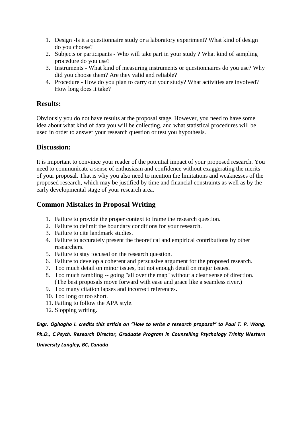- 1. Design -Is it a questionnaire study or a laboratory experiment? What kind of design do you choose?
- 2. Subjects or participants Who will take part in your study ? What kind of sampling procedure do you use?
- 3. Instruments What kind of measuring instruments or questionnaires do you use? Why did you choose them? Are they valid and reliable?
- 4. Procedure How do you plan to carry out your study? What activities are involved? How long does it take?

## **Results:**

Obviously you do not have results at the proposal stage. However, you need to have some idea about what kind of data you will be collecting, and what statistical procedures will be used in order to answer your research question or test you hypothesis.

## **Discussion:**

It is important to convince your reader of the potential impact of your proposed research. You need to communicate a sense of enthusiasm and confidence without exaggerating the merits of your proposal. That is why you also need to mention the limitations and weaknesses of the proposed research, which may be justified by time and financial constraints as well as by the early developmental stage of your research area.

## **Common Mistakes in Proposal Writing**

- 1. Failure to provide the proper context to frame the research question.
- 2. Failure to delimit the boundary conditions for your research.
- 3. Failure to cite landmark studies.
- 4. Failure to accurately present the theoretical and empirical contributions by other researchers.
- 5. Failure to stay focused on the research question.
- 6. Failure to develop a coherent and persuasive argument for the proposed research.
- 7. Too much detail on minor issues, but not enough detail on major issues.
- 8. Too much rambling -- going "all over the map" without a clear sense of direction. (The best proposals move forward with ease and grace like a seamless river.)
- 9. Too many citation lapses and incorrect references.
- 10. Too long or too short.
- 11. Failing to follow the APA style.
- 12. Slopping writing.

*Engr. Oghogho I. credits this article on "How to write a research proposal" to Paul T. P. Wong, Ph.D., C.Psych. Research Director, Graduate Program in Counselling Psychology Trinity Western University Langley, BC, Canada*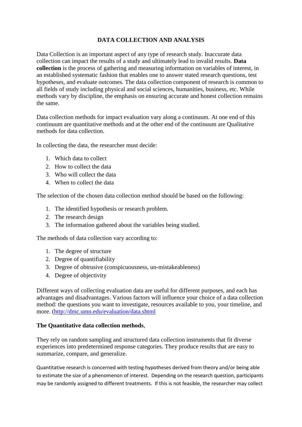## **DATA COLLECTION AND ANALYSIS**

Data Collection is an important aspect of any type of research study. Inaccurate data collection can impact the results of a study and ultimately lead to invalid results. **Data collection** is the process of gathering and measuring information on variables of interest, in an established systematic fashion that enables one to answer stated research questions, test hypotheses, and evaluate outcomes. The data collection component of research is common to all fields of study including physical and social sciences, humanities, business, etc. While methods vary by discipline, the emphasis on ensuring accurate and honest collection remains the same.

Data collection methods for impact evaluation vary along a continuum. At one end of this continuum are quantitative methods and at the other end of the continuum are Qualitative methods for data collection.

In collecting the data, the researcher must decide:

- 1. Which data to collect
- 2. How to collect the data
- 3. Who will collect the data
- 4. When to collect the data

The selection of the chosen data collection method should be based on the following:

- 1. The identified hypothesis or research problem.
- 2. The research design
- 3. The information gathered about the variables being studied.

The methods of data collection vary according to:

- 1. The degree of structure
- 2. Degree of quantifiability
- 3. Degree of obtrusive (conspicuousness, un-mistakeableness)
- 4. Degree of objectivity

Different ways of collecting evaluation data are useful for different purposes, and each has advantages and disadvantages. Various factors will influence your choice of a data collection method: the questions you want to investigate, resources available to you, your timeline, and more. [\(http://dmc.umn.edu/evaluation/data.shtml](http://dmc.umn.edu/evaluation/data.shtml)

### **The Quantitative data collection methods**,

They rely on random sampling and structured data collection instruments that fit diverse experiences into predetermined response categories. They produce results that are easy to summarize, compare, and generalize.

Quantitative research is concerned with testing hypotheses derived from theory and/or being able to estimate the size of a phenomenon of interest. Depending on the research question, participants may be randomly assigned to different treatments. If this is not feasible, the researcher may collect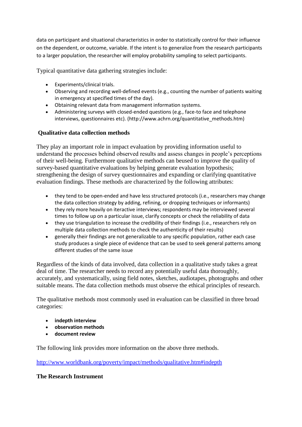data on participant and situational characteristics in order to statistically control for their influence on the dependent, or outcome, variable. If the intent is to generalize from the research participants to a larger population, the researcher will employ probability sampling to select participants.

Typical quantitative data gathering strategies include:

- Experiments/clinical trials.
- Observing and recording well-defined events (e.g., counting the number of patients waiting in emergency at specified times of the day).
- Obtaining relevant data from management information systems.
- Administering surveys with closed-ended questions (e.g., face-to face and telephone interviews, questionnaires etc). (http://www.achrn.org/quantitative\_methods.htm)

## **Qualitative data collection methods**

They play an important role in impact evaluation by providing information useful to understand the processes behind observed results and assess changes in people's perceptions of their well-being. Furthermore qualitative methods can beused to improve the quality of survey-based quantitative evaluations by helping generate evaluation hypothesis; strengthening the design of survey questionnaires and expanding or clarifying quantitative evaluation findings. These methods are characterized by the following attributes:

- they tend to be open-ended and have less structured protocols (i.e., researchers may change the data collection strategy by adding, refining, or dropping techniques or informants)
- they rely more heavily on iteractive interviews; respondents may be interviewed several times to follow up on a particular issue, clarify concepts or check the reliability of data
- they use triangulation to increase the credibility of their findings (i.e., researchers rely on multiple data collection methods to check the authenticity of their results)
- generally their findings are not generalizable to any specific population, rather each case study produces a single piece of evidence that can be used to seek general patterns among different studies of the same issue

Regardless of the kinds of data involved, data collection in a qualitative study takes a great deal of time. The researcher needs to record any potentially useful data thoroughly, accurately, and systematically, using field notes, sketches, audiotapes, photographs and other suitable means. The data collection methods must observe the ethical principles of research.

The qualitative methods most commonly used in evaluation can be classified in three broad categories:

- **indepth interview**
- **observation methods**
- **document review**

The following link provides more information on the above three methods.

<http://www.worldbank.org/poverty/impact/methods/qualitative.htm#indepth>

## **The Research Instrument**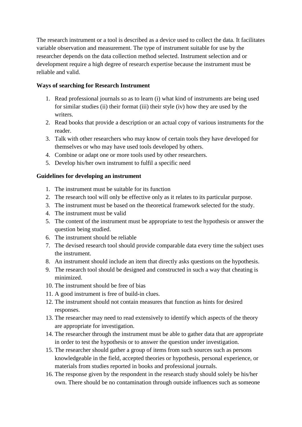The research instrument or a tool is described as a device used to collect the data. It facilitates variable observation and measurement. The type of instrument suitable for use by the researcher depends on the data collection method selected. Instrument selection and or development require a high degree of research expertise because the instrument must be reliable and valid.

## **Ways of searching for Research Instrument**

- 1. Read professional journals so as to learn (i) what kind of instruments are being used for similar studies (ii) their format (iii) their style (iv) how they are used by the writers.
- 2. Read books that provide a description or an actual copy of various instruments for the reader.
- 3. Talk with other researchers who may know of certain tools they have developed for themselves or who may have used tools developed by others.
- 4. Combine or adapt one or more tools used by other researchers.
- 5. Develop his/her own instrument to fulfil a specific need

## **Guidelines for developing an instrument**

- 1. The instrument must be suitable for its function
- 2. The research tool will only be effective only as it relates to its particular purpose.
- 3. The instrument must be based on the theoretical framework selected for the study.
- 4. The instrument must be valid
- 5. The content of the instrument must be appropriate to test the hypothesis or answer the question being studied.
- 6. The instrument should be reliable
- 7. The devised research tool should provide comparable data every time the subject uses the instrument.
- 8. An instrument should include an item that directly asks questions on the hypothesis.
- 9. The research tool should be designed and constructed in such a way that cheating is minimized.
- 10. The instrument should be free of bias
- 11. A good instrument is free of build-in clues.
- 12. The instrument should not contain measures that function as hints for desired responses.
- 13. The researcher may need to read extensively to identify which aspects of the theory are appropriate for investigation.
- 14. The researcher through the instrument must be able to gather data that are appropriate in order to test the hypothesis or to answer the question under investigation.
- 15. The researcher should gather a group of items from such sources such as persons knowledgeable in the field, accepted theories or hypothesis, personal experience, or materials from studies reported in books and professional journals.
- 16. The response given by the respondent in the research study should solely be his/her own. There should be no contamination through outside influences such as someone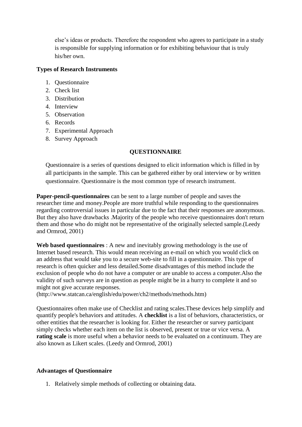else's ideas or products. Therefore the respondent who agrees to participate in a study is responsible for supplying information or for exhibiting behaviour that is truly his/her own.

## **Types of Research Instruments**

- 1. Questionnaire
- 2. Check list
- 3. Distribution
- 4. Interview
- 5. Observation
- 6. Records
- 7. Experimental Approach
- 8. Survey Approach

## **QUESTIONNAIRE**

Questionnaire is a series of questions designed to elicit information which is filled in by all participants in the sample. This can be gathered either by oral interview or by written questionnaire. Questionnaire is the most common type of research instrument.

**Paper-pencil-questionnaires** can be sent to a large number of people and saves the researcher time and money.People are more truthful while responding to the questionnaires regarding controversial issues in particular due to the fact that their responses are anonymous. But they also have drawbacks .Majority of the people who receive questionnaires don't return them and those who do might not be representative of the originally selected sample.(Leedy and Ormrod, 2001)

**Web based questionnaires** : A new and inevitably growing methodology is the use of Internet based research. This would mean receiving an e-mail on which you would click on an address that would take you to a secure web-site to fill in a questionnaire. This type of research is often quicker and less detailed.Some disadvantages of this method include the exclusion of people who do not have a computer or are unable to access a computer.Also the validity of such surveys are in question as people might be in a hurry to complete it and so might not give accurate responses.

(http://www.statcan.ca/english/edu/power/ch2/methods/methods.htm)

Questionnaires often make use of Checklist and rating scales.These devices help simplify and quantify people's behaviors and attitudes. A **checklist** is a list of behaviors, characteristics, or other entities that the researcher is looking for. Either the researcher or survey participant simply checks whether each item on the list is observed, present or true or vice versa. A **rating scale** is more useful when a behavior needs to be evaluated on a continuum. They are also known as Likert scales. (Leedy and Ormrod, 2001)

### **Advantages of Questionnaire**

1. Relatively simple methods of collecting or obtaining data.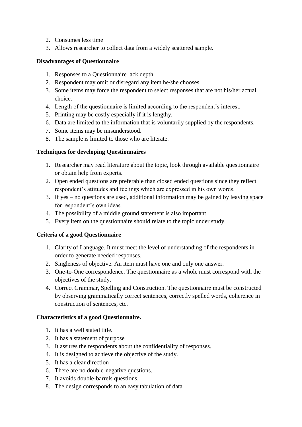- 2. Consumes less time
- 3. Allows researcher to collect data from a widely scattered sample.

### **Disadvantages of Questionnaire**

- 1. Responses to a Questionnaire lack depth.
- 2. Respondent may omit or disregard any item he/she chooses.
- 3. Some items may force the respondent to select responses that are not his/her actual choice.
- 4. Length of the questionnaire is limited according to the respondent's interest.
- 5. Printing may be costly especially if it is lengthy.
- 6. Data are limited to the information that is voluntarily supplied by the respondents.
- 7. Some items may be misunderstood.
- 8. The sample is limited to those who are literate.

## **Techniques for developing Questionnaires**

- 1. Researcher may read literature about the topic, look through available questionnaire or obtain help from experts.
- 2. Open ended questions are preferable than closed ended questions since they reflect respondent's attitudes and feelings which are expressed in his own words.
- 3. If yes no questions are used, additional information may be gained by leaving space for respondent's own ideas.
- 4. The possibility of a middle ground statement is also important.
- 5. Every item on the questionnaire should relate to the topic under study.

### **Criteria of a good Questionnaire**

- 1. Clarity of Language. It must meet the level of understanding of the respondents in order to generate needed responses.
- 2. Singleness of objective. An item must have one and only one answer.
- 3. One-to-One correspondence. The questionnaire as a whole must correspond with the objectives of the study.
- 4. Correct Grammar, Spelling and Construction. The questionnaire must be constructed by observing grammatically correct sentences, correctly spelled words, coherence in construction of sentences, etc.

### **Characteristics of a good Questionnaire.**

- 1. It has a well stated title.
- 2. It has a statement of purpose
- 3. It assures the respondents about the confidentiality of responses.
- 4. It is designed to achieve the objective of the study.
- 5. It has a clear direction
- 6. There are no double-negative questions.
- 7. It avoids double-barrels questions.
- 8. The design corresponds to an easy tabulation of data.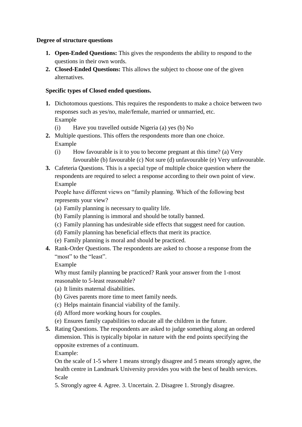## **Degree of structure questions**

- **1. Open-Ended Questions:** This gives the respondents the ability to respond to the questions in their own words.
- **2. Closed-Ended Questions:** This allows the subject to choose one of the given alternatives.

## **Specific types of Closed ended questions.**

- **1.** Dichotomous questions. This requires the respondents to make a choice between two responses such as yes/no, male/female, married or unmarried, etc. Example
	- (i) Have you travelled outside Nigeria (a) yes (b) No
- **2.** Multiple questions. This offers the respondents more than one choice. Example
	- (i) How favourable is it to you to become pregnant at this time? (a) Very favourable (b) favourable (c) Not sure (d) unfavourable (e) Very unfavourable.
- **3.** Cafeteria Questions. This is a special type of multiple choice question where the respondents are required to select a response according to their own point of view. Example

People have different views on "family planning. Which of the following best represents your view?

- (a) Family planning is necessary to quality life.
- (b) Family planning is immoral and should be totally banned.
- (c) Family planning has undesirable side effects that suggest need for caution.
- (d) Family planning has beneficial effects that merit its practice.
- (e) Family planning is moral and should be practiced.
- **4.** Rank-Order Questions. The respondents are asked to choose a response from the "most" to the "least".

Example

Why must family planning be practiced? Rank your answer from the 1-most reasonable to 5-least reasonable?

- (a) It limits maternal disabilities.
- (b) Gives parents more time to meet family needs.
- (c) Helps maintain financial viability of the family.
- (d) Afford more working hours for couples.
- (e) Ensures family capabilities to educate all the children in the future.
- **5.** Rating Questions. The respondents are asked to judge something along an ordered dimension. This is typically bipolar in nature with the end points specifying the opposite extremes of a continuum.

Example:

On the scale of 1-5 where 1 means strongly disagree and 5 means strongly agree, the health centre in Landmark University provides you with the best of health services. Scale

5. Strongly agree 4. Agree. 3. Uncertain. 2. Disagree 1. Strongly disagree.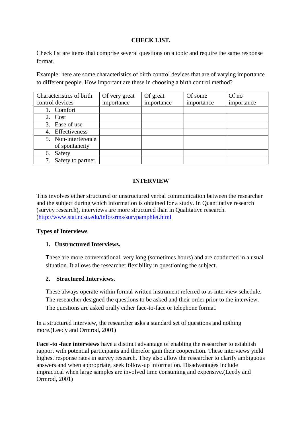## **CHECK LIST.**

Check list are items that comprise several questions on a topic and require the same response format.

Example: here are some characteristics of birth control devices that are of varying importance to different people. How important are these in choosing a birth control method?

| Characteristics of birth | Of very great | Of great   | Of some    | Of no      |
|--------------------------|---------------|------------|------------|------------|
| control devices          | importance    | importance | importance | importance |
| 1. Comfort               |               |            |            |            |
| 2. Cost                  |               |            |            |            |
| 3. Ease of use           |               |            |            |            |
| Effectiveness<br>4.      |               |            |            |            |
| 5. Non-interference      |               |            |            |            |
| of spontaneity           |               |            |            |            |
| Safety<br>6.             |               |            |            |            |
| Safety to partner        |               |            |            |            |

## **INTERVIEW**

This involves either structured or unstructured verbal communication between the researcher and the subject during which information is obtained for a study. In Quantitative research (survey research), interviews are more structured than in Qualitative research. [\(http://www.stat.ncsu.edu/info/srms/survpamphlet.html](http://www.stat.ncsu.edu/info/srms/survpamphlet.html)

### **Types of Interviews**

## **1. Unstructured Interviews.**

These are more conversational, very long (sometimes hours) and are conducted in a usual situation. It allows the researcher flexibility in questioning the subject.

## **2. Structured Interviews.**

These always operate within formal written instrument referred to as interview schedule. The researcher designed the questions to be asked and their order prior to the interview. The questions are asked orally either face-to-face or telephone format.

In a structured interview, the researcher asks a standard set of questions and nothing more.(Leedy and Ormrod, 2001)

**Face -to -face interviews** have a distinct advantage of enabling the researcher to establish rapport with potential participants and therefor gain their cooperation. These interviews yield highest response rates in survey research. They also allow the researcher to clarify ambiguous answers and when appropriate, seek follow-up information. Disadvantages include impractical when large samples are involved time consuming and expensive.(Leedy and Ormrod, 2001)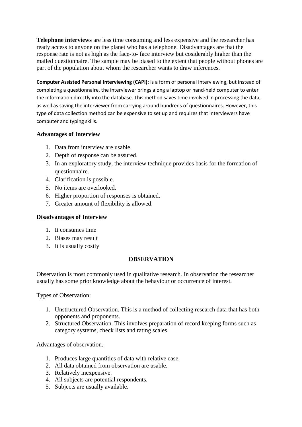**Telephone interviews** are less time consuming and less expensive and the researcher has ready access to anyone on the planet who has a telephone. Disadvantages are that the response rate is not as high as the face-to- face interview but cosiderably higher than the mailed questionnaire. The sample may be biased to the extent that people without phones are part of the population about whom the researcher wants to draw inferences.

**Computer Assisted Personal Interviewing (CAPI):** is a form of personal interviewing, but instead of completing a questionnaire, the interviewer brings along a laptop or hand-held computer to enter the information directly into the database. This method saves time involved in processing the data, as well as saving the interviewer from carrying around hundreds of questionnaires. However, this type of data collection method can be expensive to set up and requires that interviewers have computer and typing skills.

## **Advantages of Interview**

- 1. Data from interview are usable.
- 2. Depth of response can be assured.
- 3. In an exploratory study, the interview technique provides basis for the formation of questionnaire.
- 4. Clarification is possible.
- 5. No items are overlooked.
- 6. Higher proportion of responses is obtained.
- 7. Greater amount of flexibility is allowed.

## **Disadvantages of Interview**

- 1. It consumes time
- 2. Biases may result
- 3. It is usually costly

## **OBSERVATION**

Observation is most commonly used in qualitative research. In observation the researcher usually has some prior knowledge about the behaviour or occurrence of interest.

Types of Observation:

- 1. Unstructured Observation. This is a method of collecting research data that has both opponents and proponents.
- 2. Structured Observation. This involves preparation of record keeping forms such as category systems, check lists and rating scales.

Advantages of observation.

- 1. Produces large quantities of data with relative ease.
- 2. All data obtained from observation are usable.
- 3. Relatively inexpensive.
- 4. All subjects are potential respondents.
- 5. Subjects are usually available.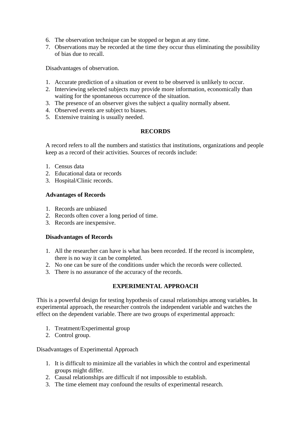- 6. The observation technique can be stopped or begun at any time.
- 7. Observations may be recorded at the time they occur thus eliminating the possibility of bias due to recall.

Disadvantages of observation.

- 1. Accurate prediction of a situation or event to be observed is unlikely to occur.
- 2. Interviewing selected subjects may provide more information, economically than waiting for the spontaneous occurrence of the situation.
- 3. The presence of an observer gives the subject a quality normally absent.
- 4. Observed events are subject to biases.
- 5. Extensive training is usually needed.

## **RECORDS**

A record refers to all the numbers and statistics that institutions, organizations and people keep as a record of their activities. Sources of records include:

- 1. Census data
- 2. Educational data or records
- 3. Hospital/Clinic records.

## **Advantages of Records**

- 1. Records are unbiased
- 2. Records often cover a long period of time.
- 3. Records are inexpensive.

### **Disadvantages of Records**

- 1. All the researcher can have is what has been recorded. If the record is incomplete, there is no way it can be completed.
- 2. No one can be sure of the conditions under which the records were collected.
- 3. There is no assurance of the accuracy of the records.

## **EXPERIMENTAL APPROACH**

This is a powerful design for testing hypothesis of causal relationships among variables. In experimental approach, the researcher controls the independent variable and watches the effect on the dependent variable. There are two groups of experimental approach:

- 1. Treatment/Experimental group
- 2. Control group.

Disadvantages of Experimental Approach

- 1. It is difficult to minimize all the variables in which the control and experimental groups might differ.
- 2. Causal relationships are difficult if not impossible to establish.
- 3. The time element may confound the results of experimental research.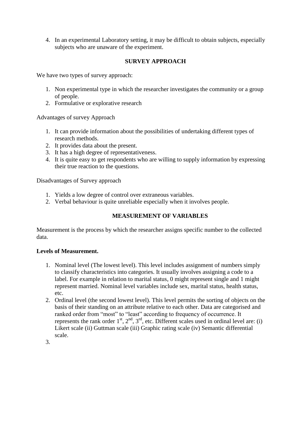4. In an experimental Laboratory setting, it may be difficult to obtain subjects, especially subjects who are unaware of the experiment.

## **SURVEY APPROACH**

We have two types of survey approach:

- 1. Non experimental type in which the researcher investigates the community or a group of people.
- 2. Formulative or explorative research

Advantages of survey Approach

- 1. It can provide information about the possibilities of undertaking different types of research methods.
- 2. It provides data about the present.
- 3. It has a high degree of representativeness.
- 4. It is quite easy to get respondents who are willing to supply information by expressing their true reaction to the questions.

Disadvantages of Survey approach

- 1. Yields a low degree of control over extraneous variables.
- 2. Verbal behaviour is quite unreliable especially when it involves people.

## **MEASUREMENT OF VARIABLES**

Measurement is the process by which the researcher assigns specific number to the collected data.

### **Levels of Measurement.**

- 1. Nominal level (The lowest level). This level includes assignment of numbers simply to classify characteristics into categories. It usually involves assigning a code to a label. For example in relation to marital status, 0 might represent single and 1 might represent married. Nominal level variables include sex, marital status, health status, etc.
- 2. Ordinal level (the second lowest level). This level permits the sorting of objects on the basis of their standing on an attribute relative to each other. Data are categorised and ranked order from "most" to "least" according to frequency of occurrence. It represents the rank order  $1^{st}$ ,  $2^{nd}$ ,  $3^{rd}$ , etc. Different scales used in ordinal level are: (i) Likert scale (ii) Guttman scale (iii) Graphic rating scale (iv) Semantic differential scale.

3.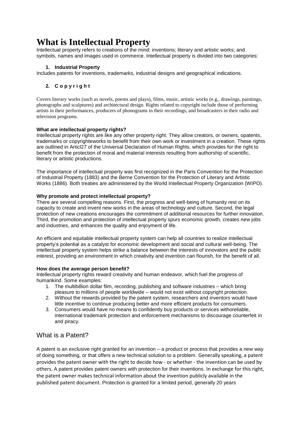## **What is Intellectual Property**

Intellectual property refers to creations of the mind: inventions; literary and artistic works; and symbols, names and images used in commerce. Intellectual property is divided into two categories:

#### **1. Industrial Property**

Includes patents for inventions, trademarks, industrial designs and geographical indications.

#### **2. C o p y r i g h t**

Covers literary works (such as novels, poems and plays), films, music, artistic works (e.g., drawings, paintings, photographs and sculptures) and architectural design. Rights related to copyright include those of performing artists in their performances, producers of phonograms in their recordings, and broadcasters in their radio and television programs.

#### **What are intellectual property rights?**

Intellectual property rights are like any other property right. They allow creators, or owners, opatents, trademarks or copyrighteworks to benefit from their own work or investment in a creation. These rights are outlined in Articl27 of the Universal Declaration of Human Rights, which provides for the right to benefit from the protection of moral and material interests resulting from authorship of scientific, literary or artistic productions.

The importance of intellectual property was first recognized in the Paris Convention for the Protection of Industrial Property (1883) and the Berne Convention for the Protection of Literary and Artistic Works (1886). Both treaties are administered by the World Intellectual Property Organization (WIPO).

#### **Why promote and protect intellectual property?**

There are several compelling reasons. First, the progress and well-being of humanity rest on its capacity to create and invent new works in the areas of technology and culture. Second, the legal protection of new creations encourages the commitment of additional resources for further innovation. Third, the promotion and protection of intellectual property spurs economic growth, creates new jobs and industries, and enhances the quality and enjoyment of life.

An efficient and equitable intellectual property system can help all countries to realize intellectual property's potential as a catalyst for economic development and social and cultural well-being. The intellectual property system helps strike a balance between the interests of innovators and the public interest, providing an environment in which creativity and invention can flourish, for the benefit of all.

#### **How does the average person benefit?**

Intellectual property rights reward creativity and human endeavor, which fuel the progress of humankind. Some examples:

- 1. The multibillion dollar film, recording, publishing and software industries which bring pleasure to millions of people worldwide – would not exist without copyright protection.
- 2. Without the rewards provided by the patent system, researchers and inventors would have little incentive to continue producing better and more efficient products for consumers.
- 3. Consumers would have no means to confidently buy products or services withoreliable, international trademark protection and enforcement mechanisms to discourage counterfeit in and piracy.

## What is a Patent?

A patent is an exclusive right granted for an invention – a product or process that provides a new way of doing something, or that offers a new technical solution to a problem. Generally speaking, a patent provides the patent owner with the right to decide how - or whether - the invention can be used by others. A patent provides patent owners with protection for their inventions. In exchange for this right, the patent owner makes technical information about the invention publicly available in the published patent document. Protection is granted for a limited period, generally 20 years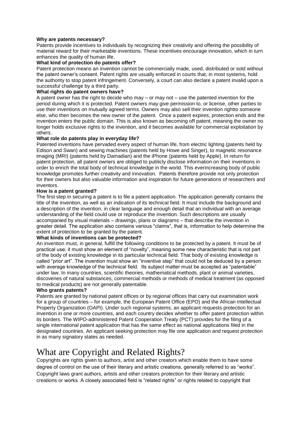#### **Why are patents necessary?**

Patents provide incentives to individuals by recognizing their creativity and offering the possibility of material reward for their marketable inventions. These incentives encourage innovation, which in turn enhances the quality of human life.

#### **What kind of protection do patents offer?**

Patent protection means an invention cannot be commercially made, used, distributed or sold without the patent owner's consent. Patent rights are usually enforced in courts that, in most systems, hold the authority to stop patent infringement. Conversely, a court can also declare a patent invalid upon a successful challenge by a third party.

#### **What rights do patent owners have?**

A patent owner has the right to decide who may – or may not – use the patented invention for the period during which it is protected. Patent owners may give permission to, or license, other parties to use their inventions on mutually agreed terms. Owners may also sell their invention rightto someone else, who then becomes the new owner of the patent. Once a patent expires, protection ends and the invention enters the public domain. This is also known as becoming off patent, meaning the owner no longer holds exclusive rights to the invention, and it becomes available for commercial exploitation by others.

#### **What role do patents play in everyday life?**

Patented inventions have pervaded every aspect of human life, from electric lighting (patents held by Edison and Swan) and sewing machines (patents held by Howe and Singer), to magnetic resonance imaging (MRI) (patents held by Damadian) and the iPhone (patents held by Apple). In return for patent protection, all patent owners are obliged to publicly disclose information on their inventions in order to enrich the total body of technical knowledge in the world. This everincreasing body of public knowledge promotes further creativity and innovation. Patents therefore provide not only protection for their owners but also valuable information and inspiration for future generations of researchers and inventors.

#### **How is a patent granted?**

The first step in securing a patent is to file a patent application. The application generally contains the title of the invention, as well as an indication of its technical field. It must include the background and a description of the invention, in clear language and enough detail that an individual with an average understanding of the field could use or reproduce the invention. Such descriptions are usually accompanied by visual materials – drawings, plans or diagrams – that describe the invention in greater detail. The application also contains various "claims", that is, information to help determine the extent of protection to be granted by the patent.

#### **What kinds of inventions can be protected?**

An invention must, in general, fulfill the following conditions to be protected by a patent. It must be of practical use; it must show an element of "novelty", meaning some new characteristic that is not part of the body of existing knowledge in its particular technical field. That body of existing knowledge is called "prior art". The invention must show an "inventive step" that could not be deduced by a person with average knowledge of the technical field. Its subject matter must be accepted as "patentable" under law. In many countries, scientific theories, mathematical methods, plant or animal varieties, discoveries of natural substances, commercial methods or methods of medical treatment (as opposed to medical products) are not generally patentable.

#### **Who grants patents?**

Patents are granted by national patent offices or by regional offices that carry out examination work for a group of countries – for example, the European Patent Office (EPO) and the African Intellectual Property Organization (OAPI). Under such regional systems, an applicant requests protection for an invention in one or more countries, and each country decides whether to offer patent protection within its borders. The WIPO-administered Patent Cooperation Treaty (PCT) provides for the filing of a single international patent application that has the same effect as national applications filed in the designated countries. An applicant seeking protection may file one application and request protection in as many signatory states as needed.

## What are Copyright and Related Rights?

Copyrights are rights given to authors, artist and other creators which enable them to have some degree of control on the use of their literary and artistic creations, generally referred to as "works". Copyright laws grant authors, artists and other creators protection for their literary and artistic creations or works. A closely associated field is "related rights" or rights related to copyright that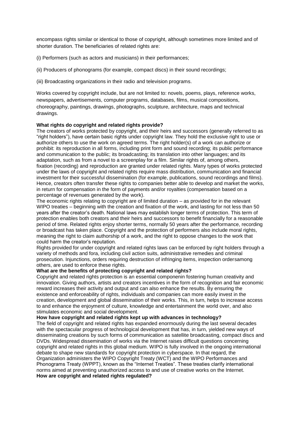encompass rights similar or identical to those of copyright, although sometimes more limited and of shorter duration. The beneficiaries of related rights are:

- (i) Performers (such as actors and musicians) in their performances;
- (ii) Producers of phonograms (for example, compact discs) in their sound recordings;
- (iii) Broadcasting organizations in their radio and television programs.

Works covered by copyright include, but are not limited to: novels, poems, plays, reference works, newspapers, advertisements, computer programs, databases, films, musical compositions, choreography, paintings, drawings, photographs, sculpture, architecture, maps and technical drawings.

#### **What rights do copyright and related rights provide?**

The creators of works protected by copyright, and their heirs and successors (generally referred to as "right holders"), have certain basic rights under copyright law. They hold the exclusive right to use or authorize others to use the work on agreed terms. The right holder(s) of a work can authorize or prohibit: its reproduction in all forms, including print form and sound recording; its public performance and communication to the public; its broadcasting; its translation into other languages; and its adaptation, such as from a novel to a screenplay for a film. Similar rights of, among others, fixation (recording) and reproduction are granted under related rights. Many types of works protected under the laws of copyright and related rights require mass distribution, communication and financial investment for their successful dissemination (for example, publications, sound recordings and films). Hence, creators often transfer these rights to companies better able to develop and market the works, in return for compensation in the form of payments and/or royalties (compensation based on a percentage of revenues generated by the work).

The economic rights relating to copyright are of limited duration – as provided for in the relevant WIPO treaties – beginning with the creation and fixation of the work, and lasting for not less than 50 years after the creator's death. National laws may establish longer terms of protection. This term of protection enables both creators and their heirs and successors to benefit financially for a reasonable period of time. Related rights enjoy shorter terms, normally 50 years after the performance, recording or broadcast has taken place. Copyright and the protection of performers also include moral rights, meaning the right to claim authorship of a work, and the right to oppose changes to the work that could harm the creator's reputation.

Rights provided for under copyright and related rights laws can be enforced by right holders through a variety of methods and fora, including civil action suits, administrative remedies and criminal prosecution. Injunctions, orders requiring destruction of infringing items, inspection ordersamong others, are used to enforce these rights.

#### **What are the benefits of protecting copyright and related rights?**

Copyright and related rights protection is an essential componenin fostering human creativity and innovation. Giving authors, artists and creators incentives in the form of recognition and fair economic reward increases their activity and output and can also enhance the results. By ensuring the existence and enforceability of rights, individuals and companies can more easily invest in the creation, development and global dissemination of their works. This, in turn, helps to increase access to and enhance the enjoyment of culture, knowledge and entertainment the world over, and also stimulates economic and social development.

#### **How have copyright and related rights kept up with advances in technology?**

The field of copyright and related rights has expanded enormously during the last several decades with the spectacular progress of technological development that has, in turn, yielded new ways of disseminating creations by such forms of communication as satellite broadcasting, compact discs and DVDs. Widespread dissemination of works via the Internet raises difficult questions concerning copyright and related rights in this global medium. WIPO is fully involved in the ongoing international debate to shape new standards for copyright protection in cyberspace. In that regard, the Organization administers the WIPO Copyright Treaty (WCT) and the WIPO Performances and Phonograms Treaty (WPPT), known as the "Internet Treaties". These treaties clarify international norms aimed at preventing unauthorized access to and use of creative works on the Internet. **How are copyright and related rights regulated?**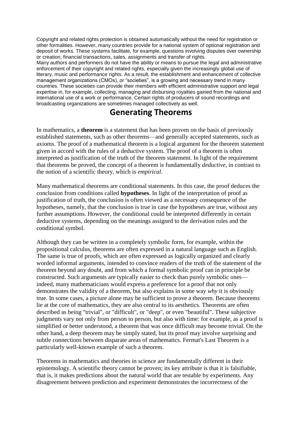Copyright and related rights protection is obtained automatically without the need for registration or other formalities. However, many countries provide for a national system of optional registration and deposit of works. These systems facilitate, for example, questions involving disputes over ownership or creation, financial transactions, sales, assignments and transfer of rights.

Many authors and performers do not have the ability or means to pursue the legal and administrative enforcement of their copyright and related rights, especially given the increasingly global use of literary, music and performance rights. As a result, the establishment and enhancement of collective management organizations (CMOs), or "societies", is a growing and necessary trend in many countries. These societies can provide their members with efficient administrative support and legal expertise in, for example, collecting, managing and disbursing royalties gained from the national and international use of a work or performance. Certain rights of producers of sound recordings and broadcasting organizations are sometimes managed collectively as well.

## **Generating Theorems**

In mathematics, a **theorem** is a statement that has been proven on the basis of previously established statements, such as other theorems—and generally accepted statements, such as axioms. The proof of a mathematical theorem is a logical argument for the theorem statement given in accord with the rules of a deductive system. The proof of a theorem is often interpreted as justification of the truth of the theorem statement. In light of the requirement that theorems be proved, the concept of a theorem is fundamentally *deductive*, in contrast to the notion of a scientific theory, which is *empirical*.

Many mathematical theorems are conditional statements. In this case, the proof deduces the conclusion from conditions called **hypotheses**. In light of the interpretation of proof as justification of truth, the conclusion is often viewed as a necessary consequence of the hypotheses, namely, that the conclusion is true in case the hypotheses are true, without any further assumptions. However, the conditional could be interpreted differently in certain deductive systems, depending on the meanings assigned to the derivation rules and the conditional symbol.

Although they can be written in a completely symbolic form, for example, within the propositional calculus, theorems are often expressed in a natural language such as English. The same is true of proofs, which are often expressed as logically organized and clearly worded informal arguments, intended to convince readers of the truth of the statement of the theorem beyond any doubt, and from which a formal symbolic proof can in principle be constructed. Such arguments are typically easier to check than purely symbolic ones indeed, many mathematicians would express a preference for a proof that not only demonstrates the validity of a theorem, but also explains in some way *why* it is obviously true. In some cases, a picture alone may be sufficient to prove a theorem. Because theorems lie at the core of mathematics, they are also central to its aesthetics. Theorems are often described as being "trivial", or "difficult", or "deep", or even "beautiful". These subjective judgments vary not only from person to person, but also with time: for example, as a proof is simplified or better understood, a theorem that was once difficult may become trivial. On the other hand, a deep theorem may be simply stated, but its proof may involve surprising and subtle connections between disparate areas of mathematics. Fermat's Last Theorem is a particularly well-known example of such a theorem.

Theorems in mathematics and theories in science are fundamentally different in their epistemology. A scientific theory cannot be proven; its key attribute is that it is falsifiable, that is, it makes predictions about the natural world that are testable by experiments. Any disagreement between prediction and experiment demonstrates the incorrectness of the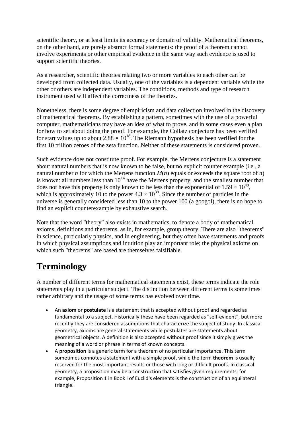scientific theory, or at least limits its accuracy or domain of validity. Mathematical theorems, on the other hand, are purely abstract formal statements: the proof of a theorem cannot involve experiments or other empirical evidence in the same way such evidence is used to support scientific theories.

As a researcher, scientific theories relating two or more variables to each other can be developed from collected data. Usually, one of the variables is a dependent variable while the other or others are independent variables. The conditions, methods and type of research instrument used will affect the correctness of the theories.

Nonetheless, there is some degree of empiricism and data collection involved in the discovery of mathematical theorems. By establishing a pattern, sometimes with the use of a powerful computer, mathematicians may have an idea of what to prove, and in some cases even a plan for how to set about doing the proof. For example, the Collatz conjecture has been verified for start values up to about  $2.88 \times 10^{18}$ . The Riemann hypothesis has been verified for the first 10 trillion zeroes of the zeta function. Neither of these statements is considered proven.

Such evidence does not constitute proof. For example, the Mertens conjecture is a statement about natural numbers that is now known to be false, but no explicit counter example (i.e., a natural number *n* for which the Mertens function  $M(n)$  equals or exceeds the square root of *n*) is known: all numbers less than  $10^{14}$  have the Mertens property, and the smallest number that does not have this property is only known to be less than the exponential of  $1.59 \times 10^{40}$ , which is approximately 10 to the power  $4.3 \times 10^{39}$ . Since the number of particles in the universe is generally considered less than 10 to the power 100 (a googol), there is no hope to find an explicit counterexample by exhaustive search.

Note that the word "theory" also exists in mathematics, to denote a body of mathematical axioms, definitions and theorems, as in, for example, group theory. There are also "theorems" in science, particularly physics, and in engineering, but they often have statements and proofs in which physical assumptions and intuition play an important role; the physical axioms on which such "theorems" are based are themselves falsifiable.

## **Terminology**

A number of different terms for mathematical statements exist, these terms indicate the role statements play in a particular subject. The distinction between different terms is sometimes rather arbitrary and the usage of some terms has evolved over time.

- An **axiom** or **postulate** is a statement that is accepted without proof and regarded as fundamental to a subject. Historically these have been regarded as "self-evident", but more recently they are considered assumptions that characterize the subject of study. In classical geometry, axioms are general statements while postulates are statements about geometrical objects. A definition is also accepted without proof since it simply gives the meaning of a word or phrase in terms of known concepts.
- A **proposition** is a generic term for a theorem of no particular importance. This term sometimes connotes a statement with a simple proof, while the term **theorem** is usually reserved for the most important results or those with long or difficult proofs. In classical geometry, a proposition may be a construction that satisfies given requirements; for example, Proposition 1 in Book I of Euclid's elements is the construction of an equilateral triangle.